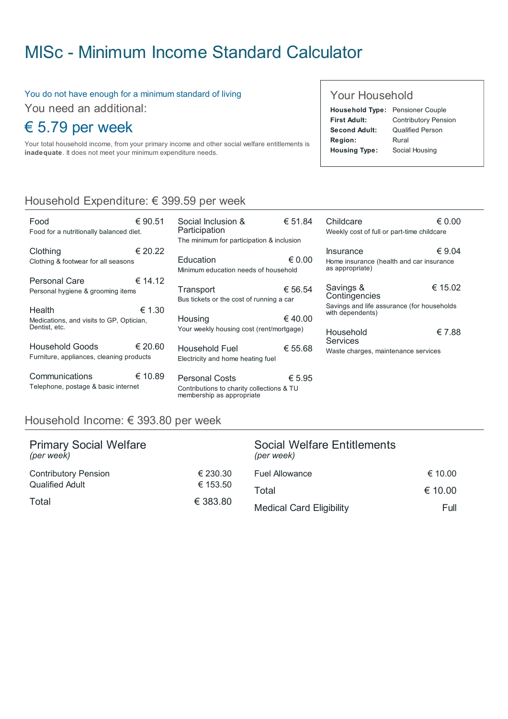# MISc - Minimum Income Standard [Calculator](http://www.misc.ie/)

#### You do not have enough for a minimum standard of living

You need an additional:

## € 5.79 per week

Your total household income, from your primary income and other social welfare entitlements is inadequate. It does not meet your minimum expenditure needs.

#### Your Household

| Household Type: Pensioner Couple |                             |
|----------------------------------|-----------------------------|
| <b>First Adult:</b>              | <b>Contributory Pension</b> |
| Second Adult:                    | <b>Qualified Person</b>     |
| Region:                          | Rural                       |
| <b>Housing Type:</b>             | Social Housing              |
|                                  |                             |

## Household Expenditure: € 399.59 per week

| Food<br>Food for a nutritionally balanced diet.                     | € 90.51 |
|---------------------------------------------------------------------|---------|
| Clothing<br>Clothing & footwear for all seasons                     | € 20.22 |
| Personal Care<br>Personal hygiene & grooming items                  | € 14.12 |
| Health<br>Medications, and visits to GP, Optician,<br>Dentist, etc. | € 1.30  |
| Household Goods                                                     | € 20.60 |
| Furniture, appliances, cleaning products                            |         |

| Social Inclusion &<br>Participation                                                      | € 51.84 |
|------------------------------------------------------------------------------------------|---------|
| The minimum for participation & inclusion                                                |         |
| Education<br>Minimum education needs of household                                        | € 0.00  |
| Transport<br>Bus tickets or the cost of running a car                                    | € 56.54 |
| Housing<br>Your weekly housing cost (rent/mortgage)                                      | € 40.00 |
| Household Fuel<br>Electricity and home heating fuel                                      | € 55.68 |
| Personal Costs<br>Contributions to charity collections & TU<br>membership as appropriate | € 5.95  |

| Childcare                                                      | $\epsilon$ 0.00 |
|----------------------------------------------------------------|-----------------|
| Weekly cost of full or part-time childcare                     |                 |
| Insurance                                                      | € 9.04          |
| Home insurance (health and car insurance<br>as appropriate)    |                 |
| Savings &<br>Contingencies                                     | € 15.02         |
| Savings and life assurance (for households<br>with dependents) |                 |
| Household<br><b>Services</b>                                   | € 7.88          |
| Waste charges, maintenance services                            |                 |

### Household Income: € 393.80 per week

| <b>Primary Social Welfare</b><br>(per week) |                      | <b>Social Welfare Entitlements</b><br>(per week) |         |
|---------------------------------------------|----------------------|--------------------------------------------------|---------|
| <b>Contributory Pension</b>                 | € 230.30             | <b>Fuel Allowance</b>                            | € 10.00 |
| <b>Qualified Adult</b>                      | € 153.50<br>€ 383.80 | Total                                            | € 10.00 |
| Total                                       |                      | <b>Medical Card Eligibility</b>                  | Full    |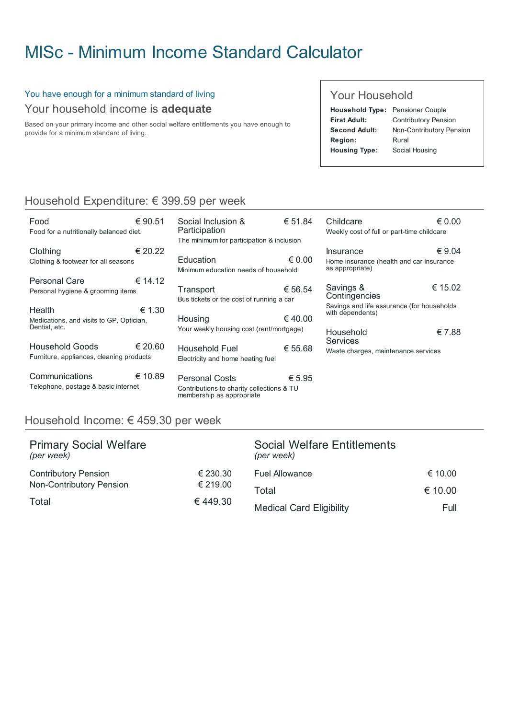# MISc - Minimum Income Standard [Calculator](http://www.misc.ie/)

#### You have enough for a minimum standard of living Your household income is adequate

Based on your primary income and other social welfare entitlements you have enough to provide for a minimum standard of living.

#### Your Household

| <b>Household Type: Pensioner Couple</b> |                             |
|-----------------------------------------|-----------------------------|
| <b>First Adult:</b>                     | <b>Contributory Pension</b> |
| Second Adult:                           | Non-Contributory Pension    |
| Region:                                 | Rural                       |
| <b>Housing Type:</b>                    | Social Housing              |
|                                         |                             |

€ 0.00

€ 9.04

€ 15.02

€ 7.88

## Household Expenditure: € 399.59 per week

| Food                                     | € 90.51 | Social Inclusion &                                                     | € 51.84         | Childcare                                                      | $\epsilon$ 0.0 |
|------------------------------------------|---------|------------------------------------------------------------------------|-----------------|----------------------------------------------------------------|----------------|
| Food for a nutritionally balanced diet.  |         | Participation                                                          |                 | Weekly cost of full or part-time childcare                     |                |
|                                          |         | The minimum for participation & inclusion                              |                 |                                                                |                |
| Clothing                                 | € 20.22 |                                                                        |                 | <b>Insurance</b>                                               | $\epsilon$ 9.0 |
| Clothing & footwear for all seasons      |         | Education                                                              | $\epsilon$ 0.00 | Home insurance (health and car insurance                       |                |
|                                          |         | Minimum education needs of household                                   |                 | as appropriate)                                                |                |
| <b>Personal Care</b>                     | € 14.12 |                                                                        |                 |                                                                |                |
| Personal hygiene & grooming items        |         | Transport                                                              | € 56.54         | Savings &                                                      | € 15.0         |
|                                          |         | Bus tickets or the cost of running a car                               |                 | Contingencies                                                  |                |
| Health                                   | € 1.30  |                                                                        |                 | Savings and life assurance (for households<br>with dependents) |                |
| Medications, and visits to GP, Optician, |         | Housing                                                                | € 40.00         |                                                                |                |
| Dentist, etc.                            |         | Your weekly housing cost (rent/mortgage)                               |                 | Household                                                      | € 7.8          |
|                                          |         |                                                                        |                 | Services                                                       |                |
| <b>Household Goods</b>                   | € 20.60 | Household Fuel                                                         | € 55.68         | Waste charges, maintenance services                            |                |
| Furniture, appliances, cleaning products |         | Electricity and home heating fuel                                      |                 |                                                                |                |
|                                          |         |                                                                        |                 |                                                                |                |
| Communications                           | € 10.89 | <b>Personal Costs</b>                                                  | € 5.95          |                                                                |                |
| Telephone, postage & basic internet      |         | Contributions to charity collections & TU<br>membership as appropriate |                 |                                                                |                |

### Household Income: € 459.30 per week

| <b>Primary Social Welfare</b><br>(per week) |          | <b>Social Welfare Entitlements</b><br>(per week) |         |
|---------------------------------------------|----------|--------------------------------------------------|---------|
| <b>Contributory Pension</b>                 | € 230.30 | <b>Fuel Allowance</b>                            | € 10.00 |
| Non-Contributory Pension<br>€ 219.00        |          | Total                                            | € 10.00 |
| Total                                       | € 449.30 | <b>Medical Card Eligibility</b>                  | Full    |